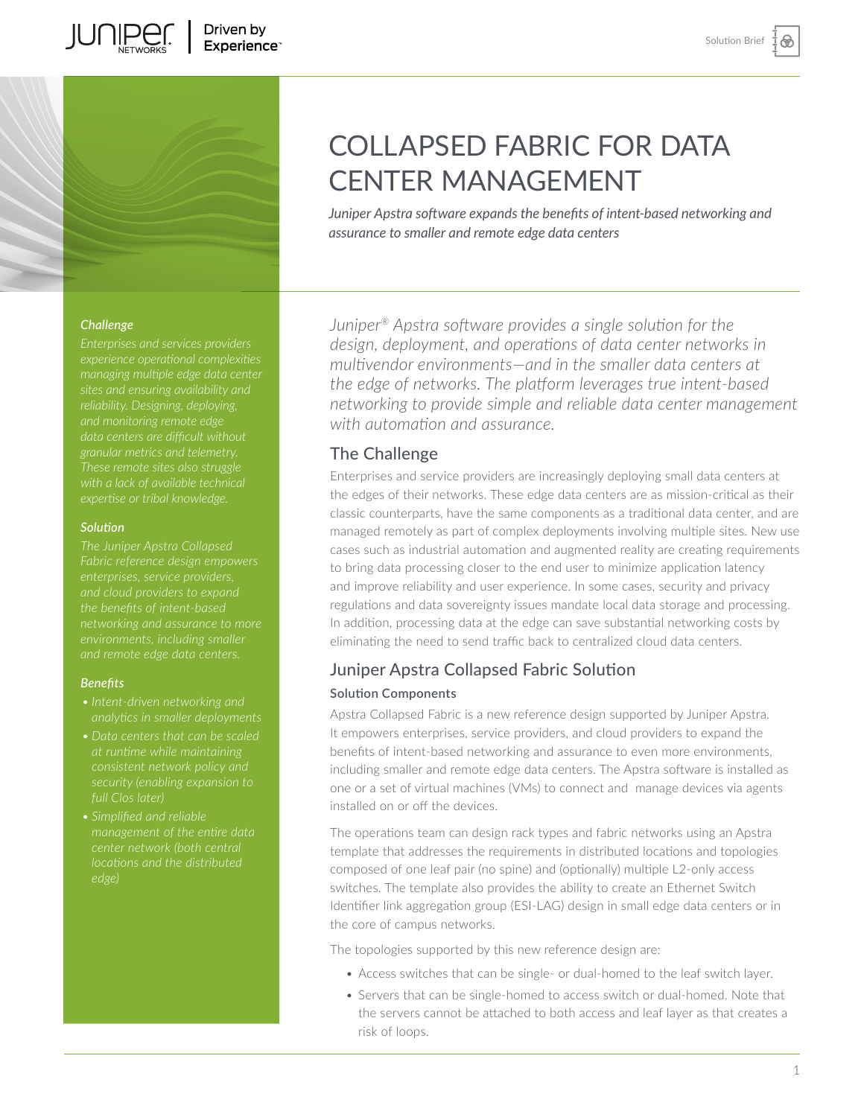

*Juniper Apstra software expands the benefits of intent-based networking and assurance to smaller and remote edge data centers*

### *Challenge*

**JUNIPER** 

*managing multiple edge data center sites and ensuring availability and reliability. Designing, deploying,* 

## *Solution*

*The Juniper Apstra Collapsed and cloud providers to expand networking and assurance to more* 

#### *Benefits*

- *• Intent-driven networking and*
- 
- *center network (both central edge)*

*Juniper® Apstra software provides a single solution for the design, deployment, and operations of data center networks in multivendor environments—and in the smaller data centers at the edge of networks. The platform leverages true intent-based networking to provide simple and reliable data center management with automation and assurance.* 

## The Challenge

Enterprises and service providers are increasingly deploying small data centers at the edges of their networks. These edge data centers are as mission-critical as their classic counterparts, have the same components as a traditional data center, and are managed remotely as part of complex deployments involving multiple sites. New use cases such as industrial automation and augmented reality are creating requirements to bring data processing closer to the end user to minimize application latency and improve reliability and user experience. In some cases, security and privacy regulations and data sovereignty issues mandate local data storage and processing. In addition, processing data at the edge can save substantial networking costs by eliminating the need to send traffic back to centralized cloud data centers.

# Juniper Apstra Collapsed Fabric Solution **Solution Components**

Apstra Collapsed Fabric is a new reference design supported by Juniper Apstra. It empowers enterprises, service providers, and cloud providers to expand the benefits of intent-based networking and assurance to even more environments, including smaller and remote edge data centers. The Apstra software is installed as one or a set of virtual machines (VMs) to connect and manage devices via agents installed on or off the devices.

The operations team can design rack types and fabric networks using an Apstra template that addresses the requirements in distributed locations and topologies composed of one leaf pair (no spine) and (optionally) multiple L2-only access switches. The template also provides the ability to create an Ethernet Switch Identifier link aggregation group (ESI-LAG) design in small edge data centers or in the core of campus networks.

The topologies supported by this new reference design are:

- Access switches that can be single- or dual-homed to the leaf switch layer.
- Servers that can be single-homed to access switch or dual-homed. Note that the servers cannot be attached to both access and leaf layer as that creates a risk of loops.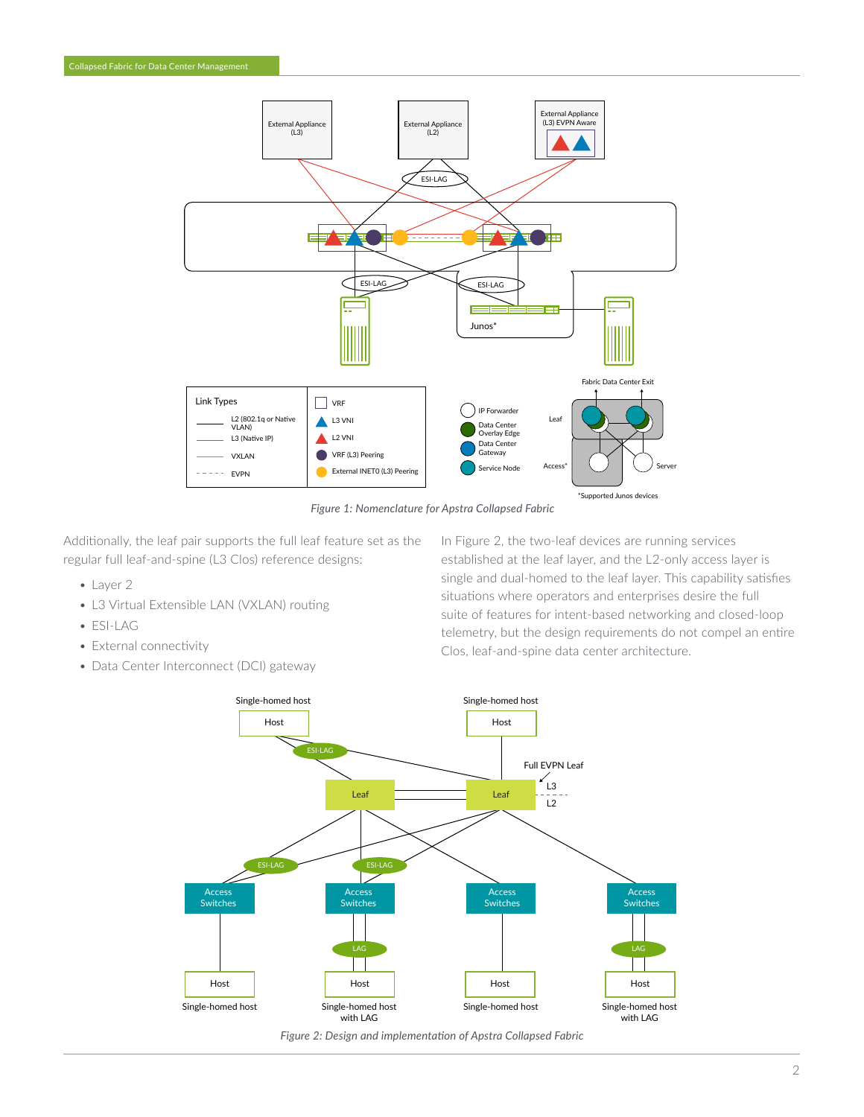

*Figure 1: Nomenclature for Apstra Collapsed Fabric*

Additionally, the leaf pair supports the full leaf feature set as the regular full leaf-and-spine (L3 Clos) reference designs:

- Layer 2
- L3 Virtual Extensible LAN (VXLAN) routing
- ESI-LAG
- External connectivity
- Data Center Interconnect (DCI) gateway

In Figure 2, the two-leaf devices are running services established at the leaf layer, and the L2-only access layer is single and dual-homed to the leaf layer. This capability satisfies situations where operators and enterprises desire the full suite of features for intent-based networking and closed-loop telemetry, but the design requirements do not compel an entire Clos, leaf-and-spine data center architecture.